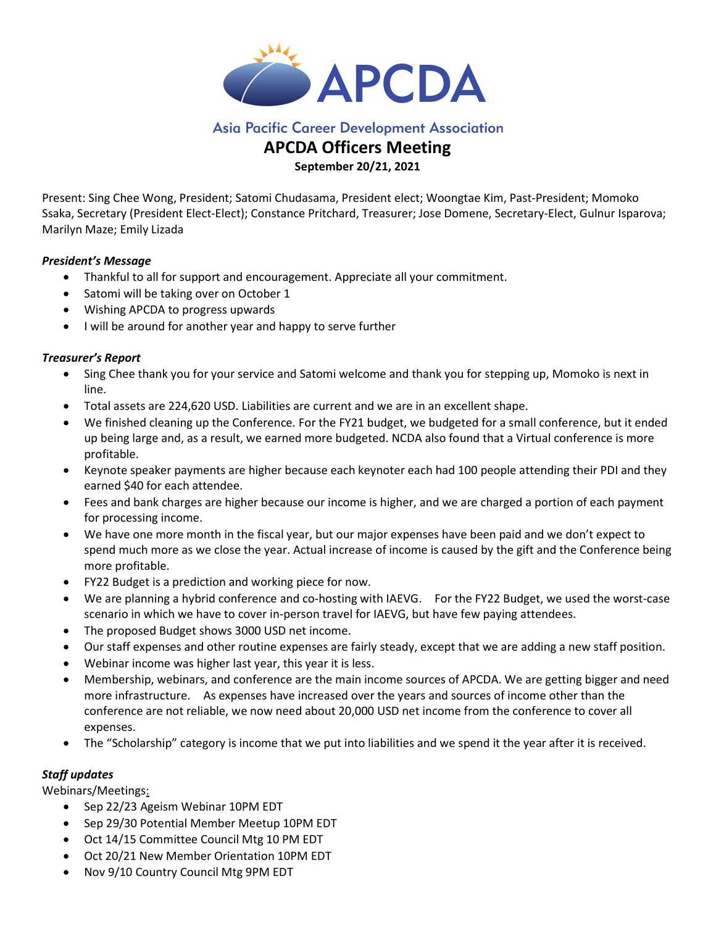

# **Asia Pacific Career Development Association**

# APCDA Officers Meeting

September 20/21, 2021

Present: Sing Chee Wong, President; Satomi Chudasama, President elect; Woongtae Kim, Past-President; Momoko Ssaka, Secretary (President Elect-Elect); Constance Pritchard, Treasurer; Jose Domene, Secretary-Elect, Gulnur Isparova; Marilyn Maze; Emily Lizada

## President's Message

- Thankful to all for support and encouragement. Appreciate all your commitment.
- Satomi will be taking over on October 1
- Wishing APCDA to progress upwards
- I will be around for another year and happy to serve further

# Treasurer's Report

- Sing Chee thank you for your service and Satomi welcome and thank you for stepping up, Momoko is next in line.
- Total assets are 224,620 USD. Liabilities are current and we are in an excellent shape.
- We finished cleaning up the Conference. For the FY21 budget, we budgeted for a small conference, but it ended up being large and, as a result, we earned more budgeted. NCDA also found that a Virtual conference is more profitable.
- Keynote speaker payments are higher because each keynoter each had 100 people attending their PDI and they earned \$40 for each attendee.
- Fees and bank charges are higher because our income is higher, and we are charged a portion of each payment for processing income.
- We have one more month in the fiscal year, but our major expenses have been paid and we don't expect to spend much more as we close the year. Actual increase of income is caused by the gift and the Conference being more profitable.
- FY22 Budget is a prediction and working piece for now.
- We are planning a hybrid conference and co-hosting with IAEVG. For the FY22 Budget, we used the worst-case scenario in which we have to cover in-person travel for IAEVG, but have few paying attendees.
- The proposed Budget shows 3000 USD net income.
- Our staff expenses and other routine expenses are fairly steady, except that we are adding a new staff position.
- Webinar income was higher last year, this year it is less.
- Membership, webinars, and conference are the main income sources of APCDA. We are getting bigger and need more infrastructure. As expenses have increased over the years and sources of income other than the conference are not reliable, we now need about 20,000 USD net income from the conference to cover all expenses.
- The "Scholarship" category is income that we put into liabilities and we spend it the year after it is received.

# Staff updates

Webinars/Meetings:

- Sep 22/23 Ageism Webinar 10PM EDT
- Sep 29/30 Potential Member Meetup 10PM EDT
- Oct 14/15 Committee Council Mtg 10 PM EDT
- Oct 20/21 New Member Orientation 10PM EDT
- Nov 9/10 Country Council Mtg 9PM EDT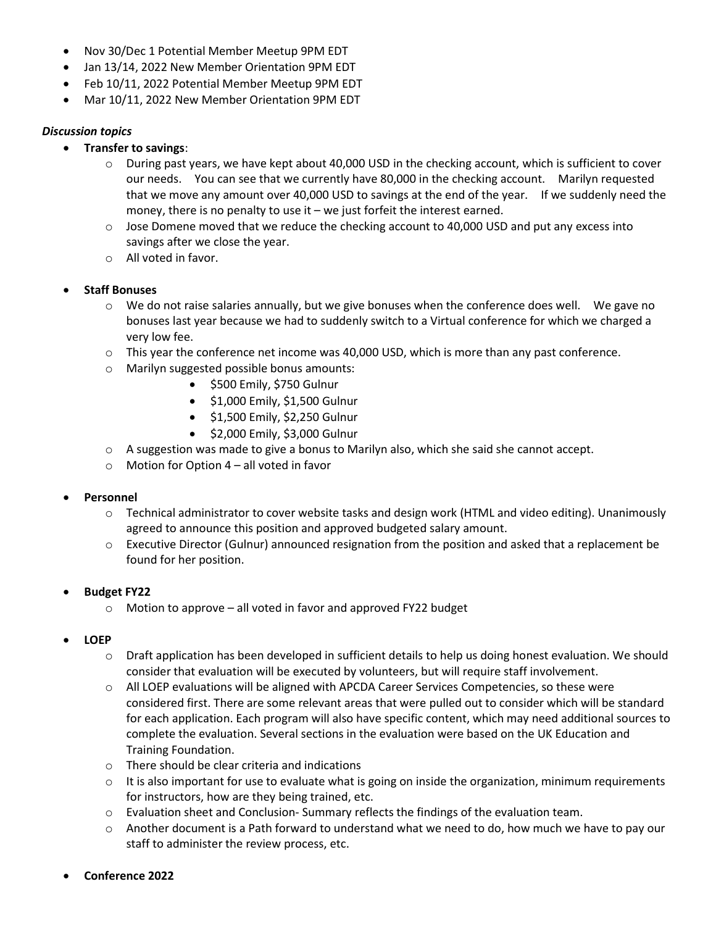- Nov 30/Dec 1 Potential Member Meetup 9PM EDT
- Jan 13/14, 2022 New Member Orientation 9PM EDT
- Feb 10/11, 2022 Potential Member Meetup 9PM EDT
- Mar 10/11, 2022 New Member Orientation 9PM EDT

### Discussion topics

- Transfer to savings:
	- $\circ$  During past years, we have kept about 40,000 USD in the checking account, which is sufficient to cover our needs. You can see that we currently have 80,000 in the checking account. Marilyn requested that we move any amount over 40,000 USD to savings at the end of the year. If we suddenly need the money, there is no penalty to use it – we just forfeit the interest earned.
	- $\circ$  Jose Domene moved that we reduce the checking account to 40,000 USD and put any excess into savings after we close the year.
	- o All voted in favor.
- Staff Bonuses
	- $\circ$  We do not raise salaries annually, but we give bonuses when the conference does well. We gave no bonuses last year because we had to suddenly switch to a Virtual conference for which we charged a very low fee.
	- o This year the conference net income was 40,000 USD, which is more than any past conference.
	- o Marilyn suggested possible bonus amounts:
		- $\bullet$  \$500 Emily, \$750 Gulnur
		- $\bullet$  \$1,000 Emily, \$1,500 Gulnur
		- \$1,500 Emily, \$2,250 Gulnur
		- $\bullet$  \$2,000 Emily, \$3,000 Gulnur
	- $\circ$  A suggestion was made to give a bonus to Marilyn also, which she said she cannot accept.
	- $\circ$  Motion for Option 4 all voted in favor

#### Personnel

- o Technical administrator to cover website tasks and design work (HTML and video editing). Unanimously agreed to announce this position and approved budgeted salary amount.
- $\circ$  Executive Director (Gulnur) announced resignation from the position and asked that a replacement be found for her position.

#### Budget FY22

 $\circ$  Motion to approve – all voted in favor and approved FY22 budget

#### LOEP

- $\circ$  Draft application has been developed in sufficient details to help us doing honest evaluation. We should consider that evaluation will be executed by volunteers, but will require staff involvement.
- o All LOEP evaluations will be aligned with APCDA Career Services Competencies, so these were considered first. There are some relevant areas that were pulled out to consider which will be standard for each application. Each program will also have specific content, which may need additional sources to complete the evaluation. Several sections in the evaluation were based on the UK Education and Training Foundation.
- o There should be clear criteria and indications
- $\circ$  It is also important for use to evaluate what is going on inside the organization, minimum requirements for instructors, how are they being trained, etc.
- $\circ$  Evaluation sheet and Conclusion-Summary reflects the findings of the evaluation team.
- $\circ$  Another document is a Path forward to understand what we need to do, how much we have to pay our staff to administer the review process, etc.
- Conference 2022